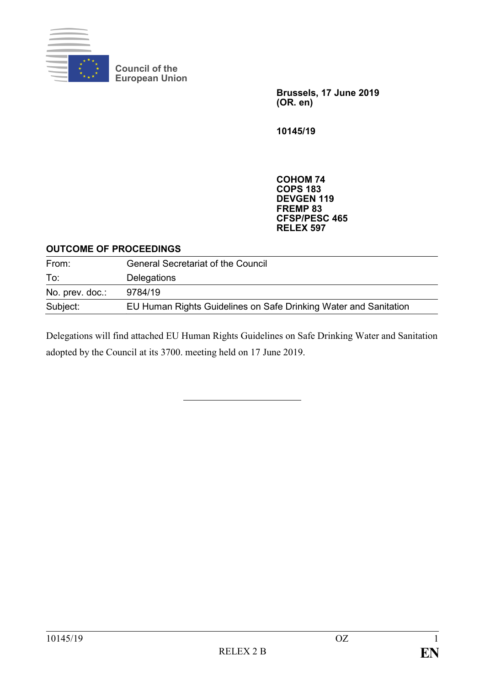

**Council of the European Union**

> **Brussels, 17 June 2019 (OR. en)**

**10145/19**

**COHOM 74 COPS 183 DEVGEN 119 FREMP 83 CFSP/PESC 465 RELEX 597**

#### **OUTCOME OF PROCEEDINGS**

| From:           | <b>General Secretariat of the Council</b>                        |  |
|-----------------|------------------------------------------------------------------|--|
| To:             | Delegations                                                      |  |
| No. prev. doc.: | 9784/19                                                          |  |
| Subject:        | EU Human Rights Guidelines on Safe Drinking Water and Sanitation |  |

Delegations will find attached EU Human Rights Guidelines on Safe Drinking Water and Sanitation adopted by the Council at its 3700. meeting held on 17 June 2019.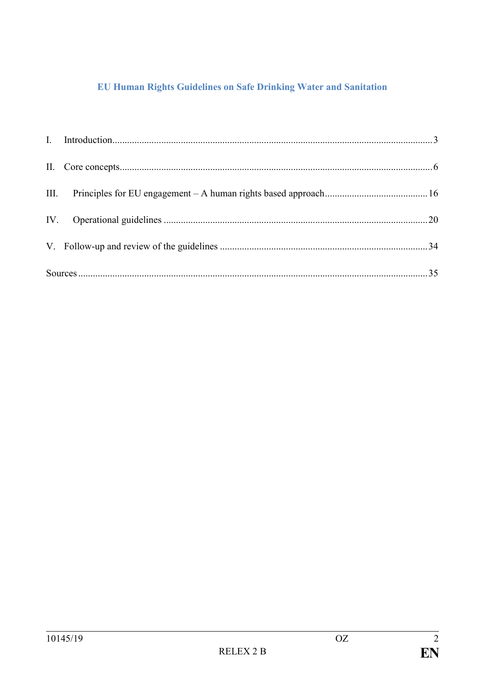# EU Human Rights Guidelines on Safe Drinking Water and Sanitation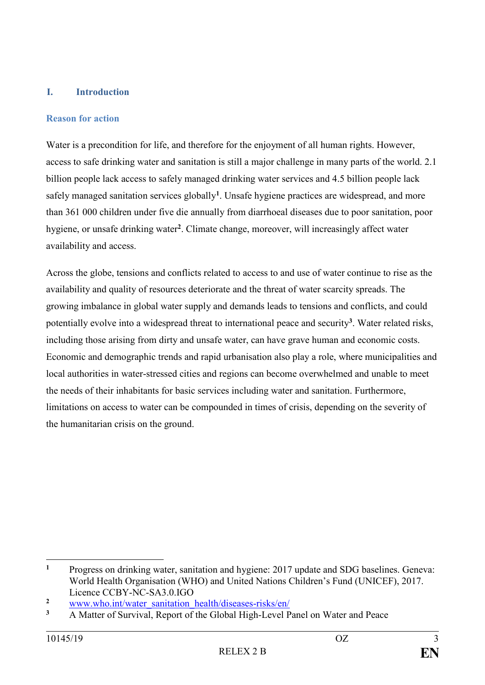### <span id="page-2-0"></span>**I. Introduction**

#### **Reason for action**

Water is a precondition for life, and therefore for the enjoyment of all human rights. However, access to safe drinking water and sanitation is still a major challenge in many parts of the world. 2.1 billion people lack access to safely managed drinking water services and 4.5 billion people lack safely managed sanitation services globally**<sup>1</sup>** . Unsafe hygiene practices are widespread, and more than 361 000 children under five die annually from diarrhoeal diseases due to poor sanitation, poor hygiene, or unsafe drinking water**<sup>2</sup>** . Climate change, moreover, will increasingly affect water availability and access.

Across the globe, tensions and conflicts related to access to and use of water continue to rise as the availability and quality of resources deteriorate and the threat of water scarcity spreads. The growing imbalance in global water supply and demands leads to tensions and conflicts, and could potentially evolve into a widespread threat to international peace and security**<sup>3</sup>** . Water related risks, including those arising from dirty and unsafe water, can have grave human and economic costs. Economic and demographic trends and rapid urbanisation also play a role, where municipalities and local authorities in water-stressed cities and regions can become overwhelmed and unable to meet the needs of their inhabitants for basic services including water and sanitation. Furthermore, limitations on access to water can be compounded in times of crisis, depending on the severity of the humanitarian crisis on the ground.

1

**<sup>1</sup>** Progress on drinking water, sanitation and hygiene: 2017 update and SDG baselines. Geneva: World Health Organisation (WHO) and United Nations Children's Fund (UNICEF), 2017. Licence CCBY-NC-SA3.0.IGO

**<sup>2</sup>** [www.who.int/water\\_sanitation\\_health/diseases-risks/en/](http://www.who.int/water_sanitation_health/diseases-risks/en/)

**<sup>3</sup>** A Matter of Survival, Report of the Global High-Level Panel on Water and Peace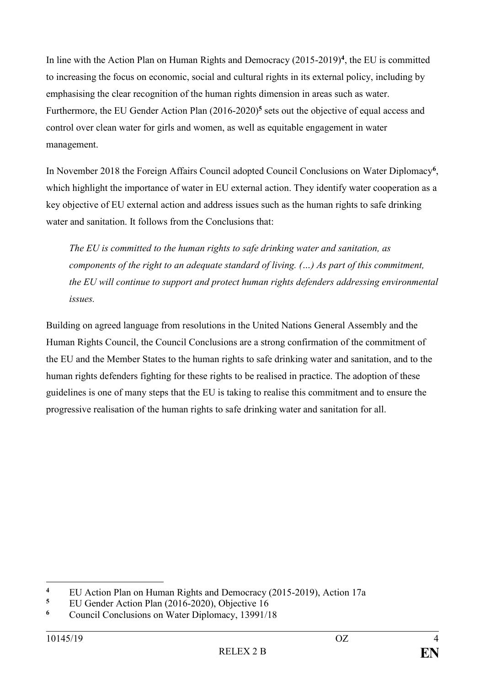In line with the Action Plan on Human Rights and Democracy (2015-2019)**<sup>4</sup>** , the EU is committed to increasing the focus on economic, social and cultural rights in its external policy, including by emphasising the clear recognition of the human rights dimension in areas such as water. Furthermore, the EU Gender Action Plan (2016-2020)**<sup>5</sup>** sets out the objective of equal access and control over clean water for girls and women, as well as equitable engagement in water management.

In November 2018 the Foreign Affairs Council adopted Council Conclusions on Water Diplomacy**<sup>6</sup>** , which highlight the importance of water in EU external action. They identify water cooperation as a key objective of EU external action and address issues such as the human rights to safe drinking water and sanitation. It follows from the Conclusions that:

*The EU is committed to the human rights to safe drinking water and sanitation, as components of the right to an adequate standard of living. (…) As part of this commitment, the EU will continue to support and protect human rights defenders addressing environmental issues.*

Building on agreed language from resolutions in the United Nations General Assembly and the Human Rights Council, the Council Conclusions are a strong confirmation of the commitment of the EU and the Member States to the human rights to safe drinking water and sanitation, and to the human rights defenders fighting for these rights to be realised in practice. The adoption of these guidelines is one of many steps that the EU is taking to realise this commitment and to ensure the progressive realisation of the human rights to safe drinking water and sanitation for all.

<u>.</u>

<sup>&</sup>lt;sup>4</sup> EU Action Plan on Human Rights and Democracy (2015-2019), Action 17a<br><sup>5</sup> EU Gordon Action Plan (2016-2020), Objective 16

**<sup>5</sup>** EU Gender Action Plan (2016-2020), Objective 16

**<sup>6</sup>** Council Conclusions on Water Diplomacy, 13991/18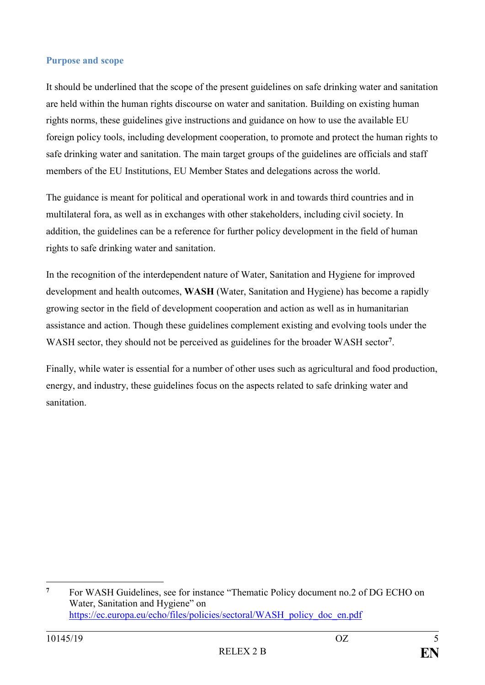#### **Purpose and scope**

It should be underlined that the scope of the present guidelines on safe drinking water and sanitation are held within the human rights discourse on water and sanitation. Building on existing human rights norms, these guidelines give instructions and guidance on how to use the available EU foreign policy tools, including development cooperation, to promote and protect the human rights to safe drinking water and sanitation. The main target groups of the guidelines are officials and staff members of the EU Institutions, EU Member States and delegations across the world.

The guidance is meant for political and operational work in and towards third countries and in multilateral fora, as well as in exchanges with other stakeholders, including civil society. In addition, the guidelines can be a reference for further policy development in the field of human rights to safe drinking water and sanitation.

In the recognition of the interdependent nature of Water, Sanitation and Hygiene for improved development and health outcomes, **WASH** (Water, Sanitation and Hygiene) has become a rapidly growing sector in the field of development cooperation and action as well as in humanitarian assistance and action. Though these guidelines complement existing and evolving tools under the WASH sector, they should not be perceived as guidelines for the broader WASH sector**<sup>7</sup>** .

Finally, while water is essential for a number of other uses such as agricultural and food production, energy, and industry, these guidelines focus on the aspects related to safe drinking water and sanitation.

<sup>&</sup>lt;u>.</u> **<sup>7</sup>** For WASH Guidelines, see for instance "Thematic Policy document no.2 of DG ECHO on Water, Sanitation and Hygiene" on [https://ec.europa.eu/echo/files/policies/sectoral/WASH\\_policy\\_doc\\_en.pdf](https://ec.europa.eu/echo/files/policies/sectoral/WASH_policy_doc_en.pdf)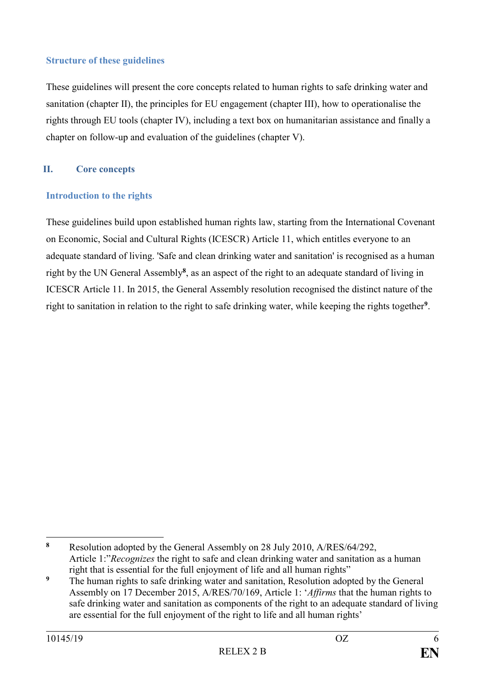### **Structure of these guidelines**

These guidelines will present the core concepts related to human rights to safe drinking water and sanitation (chapter II), the principles for EU engagement (chapter III), how to operationalise the rights through EU tools (chapter IV), including a text box on humanitarian assistance and finally a chapter on follow-up and evaluation of the guidelines (chapter V).

# <span id="page-5-0"></span>**II. Core concepts**

# **Introduction to the rights**

These guidelines build upon established human rights law, starting from the International Covenant on Economic, Social and Cultural Rights (ICESCR) Article 11, which entitles everyone to an adequate standard of living. 'Safe and clean drinking water and sanitation' is recognised as a human right by the UN General Assembly**<sup>8</sup>** , as an aspect of the right to an adequate standard of living in ICESCR Article 11. In 2015, the General Assembly resolution recognised the distinct nature of the right to sanitation in relation to the right to safe drinking water, while keeping the rights together**<sup>9</sup>** .

<sup>1</sup> **<sup>8</sup>** Resolution adopted by the General Assembly on 28 July 2010, A/RES/64/292, Article 1:"*Recognizes* the right to safe and clean drinking water and sanitation as a human right that is essential for the full enjoyment of life and all human rights"

<sup>&</sup>lt;sup>9</sup> The human rights to safe drinking water and sanitation, Resolution adopted by the General Assembly on 17 December 2015, A/RES/70/169, Article 1: '*Affirms* that the human rights to safe drinking water and sanitation as components of the right to an adequate standard of living are essential for the full enjoyment of the right to life and all human rights'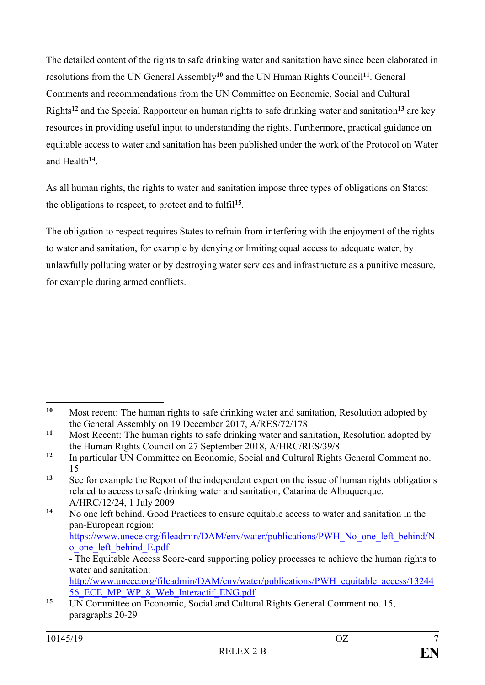The detailed content of the rights to safe drinking water and sanitation have since been elaborated in resolutions from the UN General Assembly**<sup>10</sup>** and the UN Human Rights Council**<sup>11</sup>**. General Comments and recommendations from the UN Committee on Economic, Social and Cultural Rights**<sup>12</sup>** and the Special Rapporteur on human rights to safe drinking water and sanitation**<sup>13</sup>** are key resources in providing useful input to understanding the rights. Furthermore, practical guidance on equitable access to water and sanitation has been published under the work of the Protocol on Water and Health**<sup>14</sup>** .

As all human rights, the rights to water and sanitation impose three types of obligations on States: the obligations to respect, to protect and to fulfil**<sup>15</sup>** .

The obligation to respect requires States to refrain from interfering with the enjoyment of the rights to water and sanitation, for example by denying or limiting equal access to adequate water, by unlawfully polluting water or by destroying water services and infrastructure as a punitive measure, for example during armed conflicts.

**<sup>14</sup>** No one left behind. Good Practices to ensure equitable access to water and sanitation in the pan-European region: [https://www.unece.org/fileadmin/DAM/env/water/publications/PWH\\_No\\_one\\_left\\_behind/N](https://www.unece.org/fileadmin/DAM/env/water/publications/PWH_No_one_left_behind/No_one_left_behind_E.pdf) [o\\_one\\_left\\_behind\\_E.pdf](https://www.unece.org/fileadmin/DAM/env/water/publications/PWH_No_one_left_behind/No_one_left_behind_E.pdf)

<sup>&</sup>lt;u>.</u> **<sup>10</sup>** Most recent: The human rights to safe drinking water and sanitation, Resolution adopted by the General Assembly on 19 December 2017, A/RES/72/178

**<sup>11</sup>** Most Recent: The human rights to safe drinking water and sanitation, Resolution adopted by the Human Rights Council on 27 September 2018, A/HRC/RES/39/8

**<sup>12</sup>** In particular UN Committee on Economic, Social and Cultural Rights General Comment no. 15

**<sup>13</sup>** See for example the Report of the independent expert on the issue of human rights obligations related to access to safe drinking water and sanitation, Catarina de Albuquerque, A/HRC/12/24, 1 July 2009

<sup>-</sup> The Equitable Access Score-card supporting policy processes to achieve the human rights to water and sanitation:

[http://www.unece.org/fileadmin/DAM/env/water/publications/PWH\\_equitable\\_access/13244](http://www.unece.org/fileadmin/DAM/env/water/publications/PWH_equitable_access/1324456_ECE_MP_WP_8_Web_Interactif_ENG.pdf) [56\\_ECE\\_MP\\_WP\\_8\\_Web\\_Interactif\\_ENG.pdf](http://www.unece.org/fileadmin/DAM/env/water/publications/PWH_equitable_access/1324456_ECE_MP_WP_8_Web_Interactif_ENG.pdf)

**<sup>15</sup>** UN Committee on Economic, Social and Cultural Rights General Comment no. 15, paragraphs 20-29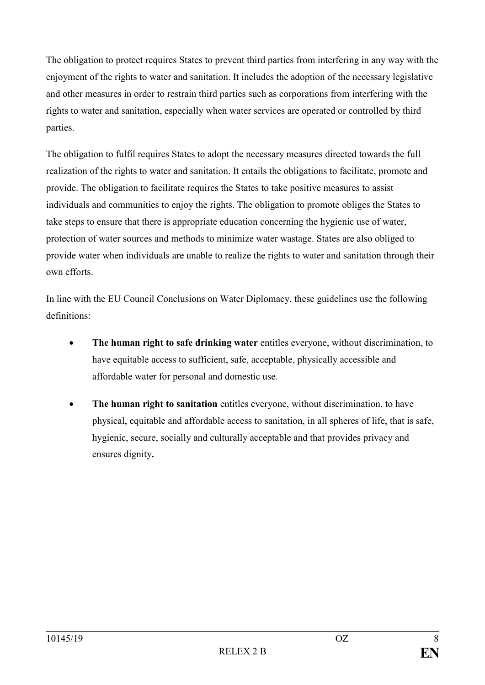The obligation to protect requires States to prevent third parties from interfering in any way with the enjoyment of the rights to water and sanitation. It includes the adoption of the necessary legislative and other measures in order to restrain third parties such as corporations from interfering with the rights to water and sanitation, especially when water services are operated or controlled by third parties.

The obligation to fulfil requires States to adopt the necessary measures directed towards the full realization of the rights to water and sanitation. It entails the obligations to facilitate, promote and provide. The obligation to facilitate requires the States to take positive measures to assist individuals and communities to enjoy the rights. The obligation to promote obliges the States to take steps to ensure that there is appropriate education concerning the hygienic use of water, protection of water sources and methods to minimize water wastage. States are also obliged to provide water when individuals are unable to realize the rights to water and sanitation through their own efforts.

In line with the EU Council Conclusions on Water Diplomacy, these guidelines use the following definitions:

- **The human right to safe drinking water** entitles everyone, without discrimination, to have equitable access to sufficient, safe, acceptable, physically accessible and affordable water for personal and domestic use.
- **The human right to sanitation** entitles everyone, without discrimination, to have physical, equitable and affordable access to sanitation, in all spheres of life, that is safe, hygienic, secure, socially and culturally acceptable and that provides privacy and ensures dignity**.**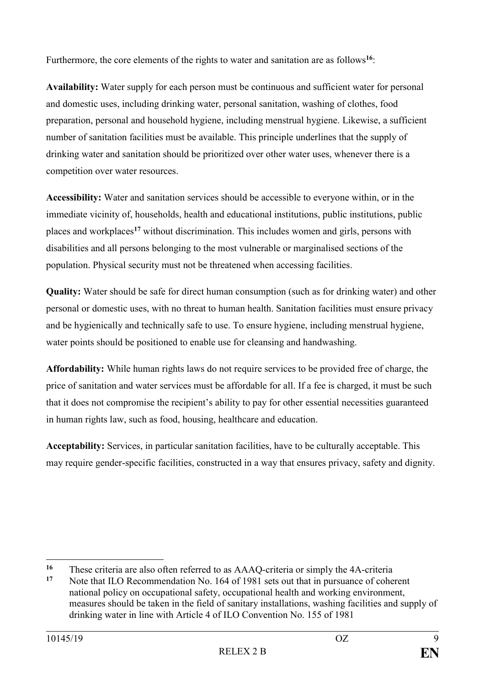Furthermore, the core elements of the rights to water and sanitation are as follows**<sup>16</sup>**:

**Availability:** Water supply for each person must be continuous and sufficient water for personal and domestic uses, including drinking water, personal sanitation, washing of clothes, food preparation, personal and household hygiene, including menstrual hygiene. Likewise, a sufficient number of sanitation facilities must be available. This principle underlines that the supply of drinking water and sanitation should be prioritized over other water uses, whenever there is a competition over water resources.

**Accessibility:** Water and sanitation services should be accessible to everyone within, or in the immediate vicinity of, households, health and educational institutions, public institutions, public places and workplaces**<sup>17</sup>** without discrimination. This includes women and girls, persons with disabilities and all persons belonging to the most vulnerable or marginalised sections of the population. Physical security must not be threatened when accessing facilities.

**Quality:** Water should be safe for direct human consumption (such as for drinking water) and other personal or domestic uses, with no threat to human health. Sanitation facilities must ensure privacy and be hygienically and technically safe to use. To ensure hygiene, including menstrual hygiene, water points should be positioned to enable use for cleansing and handwashing.

**Affordability:** While human rights laws do not require services to be provided free of charge, the price of sanitation and water services must be affordable for all. If a fee is charged, it must be such that it does not compromise the recipient's ability to pay for other essential necessities guaranteed in human rights law, such as food, housing, healthcare and education.

**Acceptability:** Services, in particular sanitation facilities, have to be culturally acceptable. This may require gender-specific facilities, constructed in a way that ensures privacy, safety and dignity.

<sup>1</sup> <sup>16</sup> These criteria are also often referred to as AAAQ-criteria or simply the 4A-criteria<br><sup>17</sup> Note that II Q Pecommendation No. 164 of 1981 sets out that in pursuance of cohe

Note that ILO Recommendation No. 164 of 1981 sets out that in pursuance of coherent national policy on occupational safety, occupational health and working environment, measures should be taken in the field of sanitary installations, washing facilities and supply of drinking water in line with Article 4 of ILO Convention No. 155 of 1981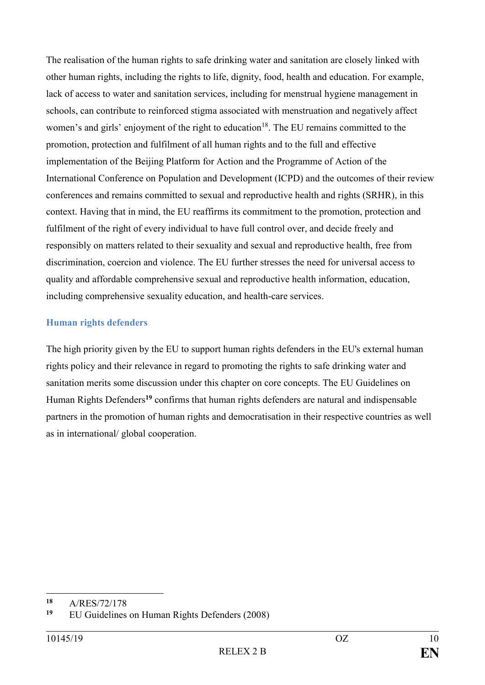The realisation of the human rights to safe drinking water and sanitation are closely linked with other human rights, including the rights to life, dignity, food, health and education. For example, lack of access to water and sanitation services, including for menstrual hygiene management in schools, can contribute to reinforced stigma associated with menstruation and negatively affect women's and girls' enjoyment of the right to education<sup>18</sup>. The EU remains committed to the promotion, protection and fulfilment of all human rights and to the full and effective implementation of the Beijing Platform for Action and the Programme of Action of the International Conference on Population and Development (ICPD) and the outcomes of their review conferences and remains committed to sexual and reproductive health and rights (SRHR), in this context. Having that in mind, the EU reaffirms its commitment to the promotion, protection and fulfilment of the right of every individual to have full control over, and decide freely and responsibly on matters related to their sexuality and sexual and reproductive health, free from discrimination, coercion and violence. The EU further stresses the need for universal access to quality and affordable comprehensive sexual and reproductive health information, education, including comprehensive sexuality education, and health-care services.

# **Human rights defenders**

The high priority given by the EU to support human rights defenders in the EU's external human rights policy and their relevance in regard to promoting the rights to safe drinking water and sanitation merits some discussion under this chapter on core concepts. The EU Guidelines on Human Rights Defenders**<sup>19</sup>** confirms that human rights defenders are natural and indispensable partners in the promotion of human rights and democratisation in their respective countries as well as in international/ global cooperation.

<sup>18</sup> 18 A/RES/72/178

**<sup>19</sup>** EU Guidelines on Human Rights Defenders (2008)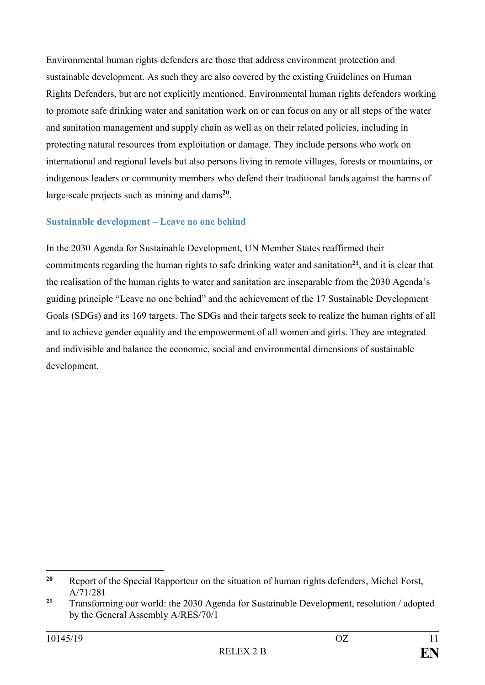Environmental human rights defenders are those that address environment protection and sustainable development. As such they are also covered by the existing Guidelines on Human Rights Defenders, but are not explicitly mentioned. Environmental human rights defenders working to promote safe drinking water and sanitation work on or can focus on any or all steps of the water and sanitation management and supply chain as well as on their related policies, including in protecting natural resources from exploitation or damage. They include persons who work on international and regional levels but also persons living in remote villages, forests or mountains, or indigenous leaders or community members who defend their traditional lands against the harms of large-scale projects such as mining and dams**<sup>20</sup>** .

#### **Sustainable development – Leave no one behind**

In the 2030 Agenda for Sustainable Development, UN Member States reaffirmed their commitments regarding the human rights to safe drinking water and sanitation**<sup>21</sup>**, and it is clear that the realisation of the human rights to water and sanitation are inseparable from the 2030 Agenda's guiding principle "Leave no one behind" and the achievement of the 17 Sustainable Development Goals (SDGs) and its 169 targets. The SDGs and their targets seek to realize the human rights of all and to achieve gender equality and the empowerment of all women and girls. They are integrated and indivisible and balance the economic, social and environmental dimensions of sustainable development.

1

**<sup>20</sup>** Report of the Special Rapporteur on the situation of human rights defenders, Michel Forst, A/71/281

**<sup>21</sup>** Transforming our world: the 2030 Agenda for Sustainable Development, resolution / adopted by the General Assembly A/RES/70/1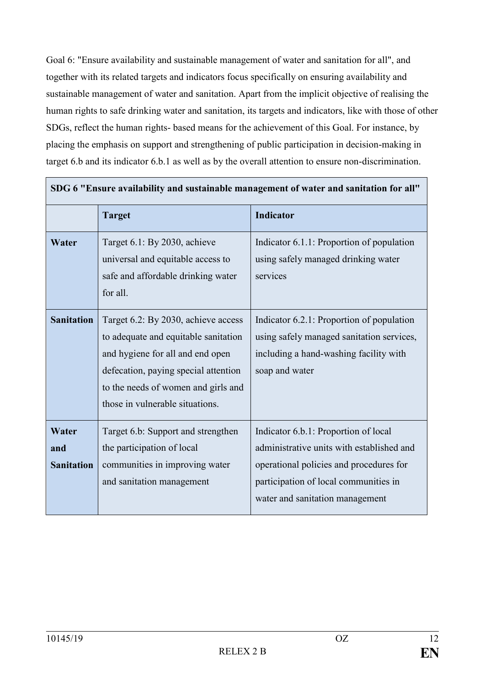Goal 6: "Ensure availability and sustainable management of water and sanitation for all", and together with its related targets and indicators focus specifically on ensuring availability and sustainable management of water and sanitation. Apart from the implicit objective of realising the human rights to safe drinking water and sanitation, its targets and indicators, like with those of other SDGs, reflect the human rights- based means for the achievement of this Goal. For instance, by placing the emphasis on support and strengthening of public participation in decision-making in target 6.b and its indicator 6.b.1 as well as by the overall attention to ensure non-discrimination.

| SDG 6 "Ensure availability and sustainable management of water and sanitation for all" |                                                                                                                                                                                                                                   |                                                                                                                                                                                                          |  |  |
|----------------------------------------------------------------------------------------|-----------------------------------------------------------------------------------------------------------------------------------------------------------------------------------------------------------------------------------|----------------------------------------------------------------------------------------------------------------------------------------------------------------------------------------------------------|--|--|
|                                                                                        | <b>Target</b>                                                                                                                                                                                                                     | Indicator                                                                                                                                                                                                |  |  |
| Water                                                                                  | Target 6.1: By 2030, achieve<br>universal and equitable access to<br>safe and affordable drinking water<br>for all.                                                                                                               | Indicator 6.1.1: Proportion of population<br>using safely managed drinking water<br>services                                                                                                             |  |  |
| <b>Sanitation</b>                                                                      | Target 6.2: By 2030, achieve access<br>to adequate and equitable sanitation<br>and hygiene for all and end open<br>defecation, paying special attention<br>to the needs of women and girls and<br>those in vulnerable situations. | Indicator 6.2.1: Proportion of population<br>using safely managed sanitation services,<br>including a hand-washing facility with<br>soap and water                                                       |  |  |
| Water<br>and<br><b>Sanitation</b>                                                      | Target 6.b: Support and strengthen<br>the participation of local<br>communities in improving water<br>and sanitation management                                                                                                   | Indicator 6.b.1: Proportion of local<br>administrative units with established and<br>operational policies and procedures for<br>participation of local communities in<br>water and sanitation management |  |  |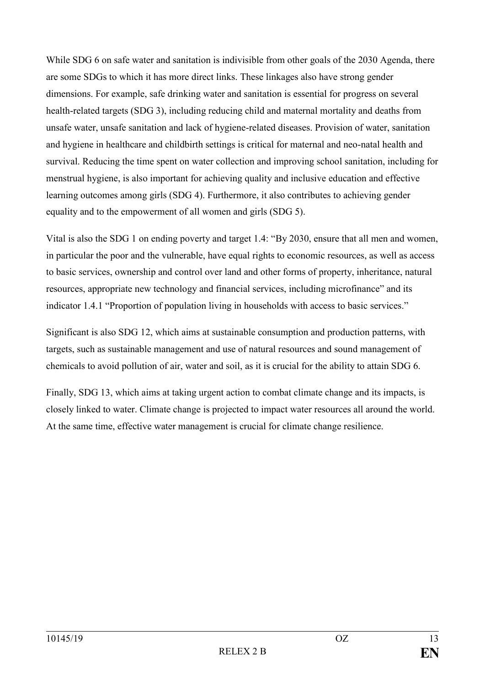While SDG 6 on safe water and sanitation is indivisible from other goals of the 2030 Agenda, there are some SDGs to which it has more direct links. These linkages also have strong gender dimensions. For example, safe drinking water and sanitation is essential for progress on several health-related targets (SDG 3), including reducing child and maternal mortality and deaths from unsafe water, unsafe sanitation and lack of hygiene-related diseases. Provision of water, sanitation and hygiene in healthcare and childbirth settings is critical for maternal and neo-natal health and survival. Reducing the time spent on water collection and improving school sanitation, including for menstrual hygiene, is also important for achieving quality and inclusive education and effective learning outcomes among girls (SDG 4). Furthermore, it also contributes to achieving gender equality and to the empowerment of all women and girls (SDG 5).

Vital is also the SDG 1 on ending poverty and target 1.4: "By 2030, ensure that all men and women, in particular the poor and the vulnerable, have equal rights to economic resources, as well as access to basic services, ownership and control over land and other forms of property, inheritance, natural resources, appropriate new technology and financial services, including microfinance" and its indicator 1.4.1 "Proportion of population living in households with access to basic services."

Significant is also SDG 12, which aims at sustainable consumption and production patterns, with targets, such as sustainable management and use of natural resources and sound management of chemicals to avoid pollution of air, water and soil, as it is crucial for the ability to attain SDG 6.

Finally, SDG 13, which aims at taking urgent action to combat climate change and its impacts, is closely linked to water. Climate change is projected to impact water resources all around the world. At the same time, effective water management is crucial for climate change resilience.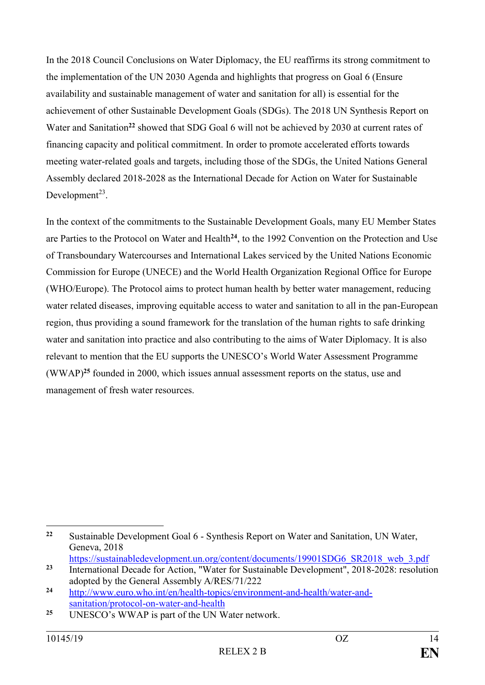In the 2018 Council Conclusions on Water Diplomacy, the EU reaffirms its strong commitment to the implementation of the UN 2030 Agenda and highlights that progress on Goal 6 (Ensure availability and sustainable management of water and sanitation for all) is essential for the achievement of other Sustainable Development Goals (SDGs). The 2018 UN Synthesis Report on Water and Sanitation<sup>22</sup> showed that SDG Goal 6 will not be achieved by 2030 at current rates of financing capacity and political commitment. In order to promote accelerated efforts towards meeting water-related goals and targets, including those of the SDGs, the United Nations General Assembly declared 2018-2028 as the International Decade for Action on Water for Sustainable Development $^{23}$ .

In the context of the commitments to the Sustainable Development Goals, many EU Member States are Parties to the Protocol on Water and Health**<sup>24</sup>**, to the 1992 Convention on the Protection and Use of Transboundary Watercourses and International Lakes serviced by the United Nations Economic Commission for Europe (UNECE) and the World Health Organization Regional Office for Europe (WHO/Europe). The Protocol aims to protect human health by better water management, reducing water related diseases, improving equitable access to water and sanitation to all in the pan-European region, thus providing a sound framework for the translation of the human rights to safe drinking water and sanitation into practice and also contributing to the aims of Water Diplomacy. It is also relevant to mention that the EU supports the UNESCO's World Water Assessment Programme (WWAP)**<sup>25</sup>** founded in 2000, which issues annual assessment reports on the status, use and management of fresh water resources.

<sup>&</sup>lt;u>.</u> **<sup>22</sup>** Sustainable Development Goal 6 - Synthesis Report on Water and Sanitation, UN Water, Geneva, 2018

[https://sustainabledevelopment.un.org/content/documents/19901SDG6\\_SR2018\\_web\\_3.pdf](https://sustainabledevelopment.un.org/content/documents/19901SDG6_SR2018_web_3.pdf) <sup>23</sup> International Decade for Action, "Water for Sustainable Development", 2018-2028: resolution

adopted by the General Assembly A/RES/71/222

**<sup>24</sup>** [http://www.euro.who.int/en/health-topics/environment-and-health/water-and](http://www.euro.who.int/en/health-topics/environment-and-health/water-and-sanitation/protocol-on-water-and-health)[sanitation/protocol-on-water-and-health](http://www.euro.who.int/en/health-topics/environment-and-health/water-and-sanitation/protocol-on-water-and-health)

**<sup>25</sup>** UNESCO's WWAP is part of the UN Water network.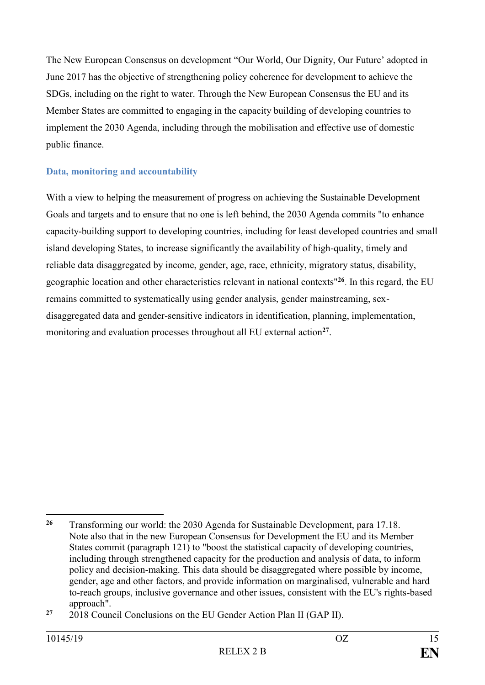The New European Consensus on development "Our World, Our Dignity, Our Future' adopted in June 2017 has the objective of strengthening policy coherence for development to achieve the SDGs, including on the right to water. Through the New European Consensus the EU and its Member States are committed to engaging in the capacity building of developing countries to implement the 2030 Agenda, including through the mobilisation and effective use of domestic public finance.

# **Data, monitoring and accountability**

With a view to helping the measurement of progress on achieving the Sustainable Development Goals and targets and to ensure that no one is left behind, the 2030 Agenda commits "to enhance capacity-building support to developing countries, including for least developed countries and small island developing States, to increase significantly the availability of high-quality, timely and reliable data disaggregated by income, gender, age, race, ethnicity, migratory status, disability, geographic location and other characteristics relevant in national contexts"**<sup>26</sup>** . In this regard, the EU remains committed to systematically using gender analysis, gender mainstreaming, sexdisaggregated data and gender-sensitive indicators in identification, planning, implementation, monitoring and evaluation processes throughout all EU external action**<sup>27</sup>** .

<sup>&</sup>lt;u>.</u> **<sup>26</sup>** Transforming our world: the 2030 Agenda for Sustainable Development, para 17.18. Note also that in the new European Consensus for Development the EU and its Member States commit (paragraph 121) to "boost the statistical capacity of developing countries, including through strengthened capacity for the production and analysis of data, to inform policy and decision-making. This data should be disaggregated where possible by income, gender, age and other factors, and provide information on marginalised, vulnerable and hard to-reach groups, inclusive governance and other issues, consistent with the EU's rights-based approach".

**<sup>27</sup>** 2018 Council Conclusions on the EU Gender Action Plan II (GAP II).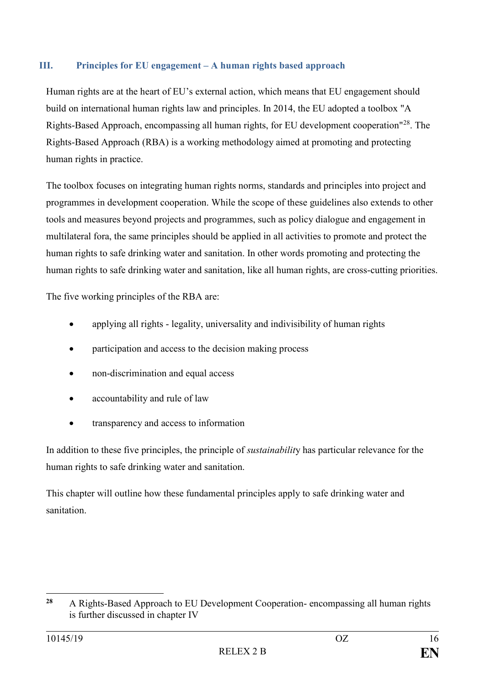# <span id="page-15-0"></span>**III. Principles for EU engagement – A human rights based approach**

Human rights are at the heart of EU's external action, which means that EU engagement should build on international human rights law and principles. In 2014, the EU adopted a toolbox "A Rights-Based Approach, encompassing all human rights, for EU development cooperation"<sup>28</sup>. The Rights-Based Approach (RBA) is a working methodology aimed at promoting and protecting human rights in practice.

The toolbox focuses on integrating human rights norms, standards and principles into project and programmes in development cooperation. While the scope of these guidelines also extends to other tools and measures beyond projects and programmes, such as policy dialogue and engagement in multilateral fora, the same principles should be applied in all activities to promote and protect the human rights to safe drinking water and sanitation. In other words promoting and protecting the human rights to safe drinking water and sanitation, like all human rights, are cross-cutting priorities.

The five working principles of the RBA are:

- applying all rights legality, universality and indivisibility of human rights
- participation and access to the decision making process
- non-discrimination and equal access
- accountability and rule of law
- transparency and access to information

In addition to these five principles, the principle of *sustainabilit*y has particular relevance for the human rights to safe drinking water and sanitation.

This chapter will outline how these fundamental principles apply to safe drinking water and sanitation.

 $28$ **<sup>28</sup>** A Rights-Based Approach to EU Development Cooperation- encompassing all human rights is further discussed in chapter IV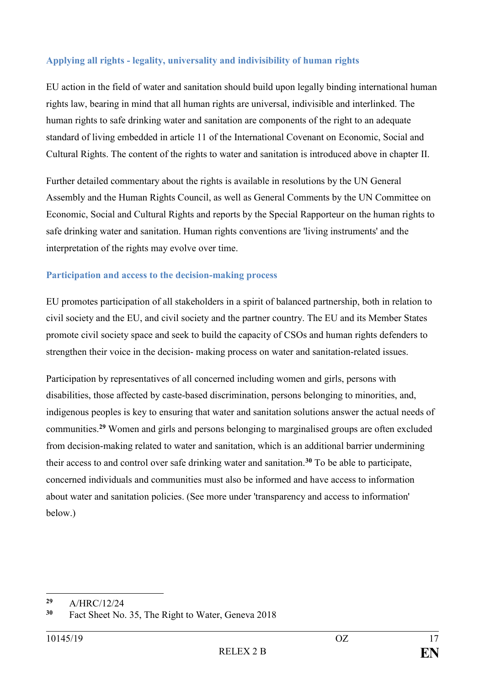# **Applying all rights - legality, universality and indivisibility of human rights**

EU action in the field of water and sanitation should build upon legally binding international human rights law, bearing in mind that all human rights are universal, indivisible and interlinked. The human rights to safe drinking water and sanitation are components of the right to an adequate standard of living embedded in article 11 of the International Covenant on Economic, Social and Cultural Rights. The content of the rights to water and sanitation is introduced above in chapter II.

Further detailed commentary about the rights is available in resolutions by the UN General Assembly and the Human Rights Council, as well as General Comments by the UN Committee on Economic, Social and Cultural Rights and reports by the Special Rapporteur on the human rights to safe drinking water and sanitation. Human rights conventions are 'living instruments' and the interpretation of the rights may evolve over time.

### **Participation and access to the decision-making process**

EU promotes participation of all stakeholders in a spirit of balanced partnership, both in relation to civil society and the EU, and civil society and the partner country. The EU and its Member States promote civil society space and seek to build the capacity of CSOs and human rights defenders to strengthen their voice in the decision- making process on water and sanitation-related issues.

Participation by representatives of all concerned including women and girls, persons with disabilities, those affected by caste-based discrimination, persons belonging to minorities, and, indigenous peoples is key to ensuring that water and sanitation solutions answer the actual needs of communities.**<sup>29</sup>** Women and girls and persons belonging to marginalised groups are often excluded from decision-making related to water and sanitation, which is an additional barrier undermining their access to and control over safe drinking water and sanitation.**<sup>30</sup>** To be able to participate, concerned individuals and communities must also be informed and have access to information about water and sanitation policies. (See more under 'transparency and access to information' below.)

 $29$ <sup>29</sup> A/HRC/12/24

Fact Sheet No. 35, The Right to Water, Geneva 2018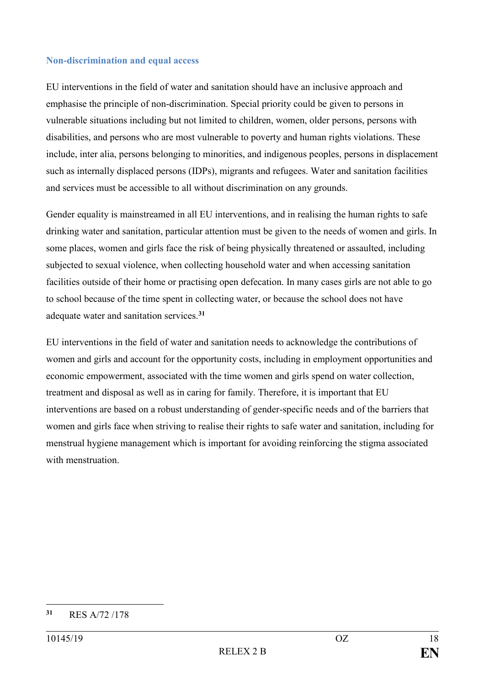#### **Non-discrimination and equal access**

EU interventions in the field of water and sanitation should have an inclusive approach and emphasise the principle of non-discrimination. Special priority could be given to persons in vulnerable situations including but not limited to children, women, older persons, persons with disabilities, and persons who are most vulnerable to poverty and human rights violations. These include, inter alia, persons belonging to minorities, and indigenous peoples, persons in displacement such as internally displaced persons (IDPs), migrants and refugees. Water and sanitation facilities and services must be accessible to all without discrimination on any grounds.

Gender equality is mainstreamed in all EU interventions, and in realising the human rights to safe drinking water and sanitation, particular attention must be given to the needs of women and girls. In some places, women and girls face the risk of being physically threatened or assaulted, including subjected to sexual violence, when collecting household water and when accessing sanitation facilities outside of their home or practising open defecation. In many cases girls are not able to go to school because of the time spent in collecting water, or because the school does not have adequate water and sanitation services.**<sup>31</sup>**

EU interventions in the field of water and sanitation needs to acknowledge the contributions of women and girls and account for the opportunity costs, including in employment opportunities and economic empowerment, associated with the time women and girls spend on water collection, treatment and disposal as well as in caring for family. Therefore, it is important that EU interventions are based on a robust understanding of gender-specific needs and of the barriers that women and girls face when striving to realise their rights to safe water and sanitation, including for menstrual hygiene management which is important for avoiding reinforcing the stigma associated with menstruation

<sup>1</sup> **<sup>31</sup>** RES A/72 /178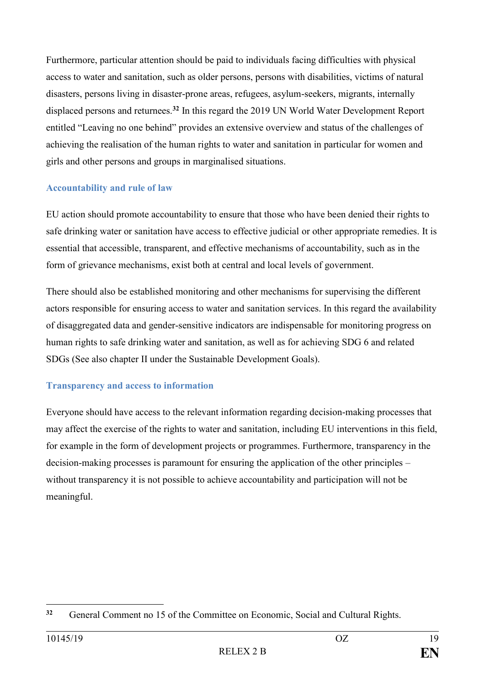Furthermore, particular attention should be paid to individuals facing difficulties with physical access to water and sanitation, such as older persons, persons with disabilities, victims of natural disasters, persons living in disaster-prone areas, refugees, asylum-seekers, migrants, internally displaced persons and returnees.**<sup>32</sup>** In this regard the 2019 UN World Water Development Report entitled "Leaving no one behind" provides an extensive overview and status of the challenges of achieving the realisation of the human rights to water and sanitation in particular for women and girls and other persons and groups in marginalised situations.

### **Accountability and rule of law**

EU action should promote accountability to ensure that those who have been denied their rights to safe drinking water or sanitation have access to effective judicial or other appropriate remedies. It is essential that accessible, transparent, and effective mechanisms of accountability, such as in the form of grievance mechanisms, exist both at central and local levels of government.

There should also be established monitoring and other mechanisms for supervising the different actors responsible for ensuring access to water and sanitation services. In this regard the availability of disaggregated data and gender-sensitive indicators are indispensable for monitoring progress on human rights to safe drinking water and sanitation, as well as for achieving SDG 6 and related SDGs (See also chapter II under the Sustainable Development Goals).

### **Transparency and access to information**

Everyone should have access to the relevant information regarding decision-making processes that may affect the exercise of the rights to water and sanitation, including EU interventions in this field, for example in the form of development projects or programmes. Furthermore, transparency in the decision-making processes is paramount for ensuring the application of the other principles – without transparency it is not possible to achieve accountability and participation will not be meaningful.

<sup>1</sup> **<sup>32</sup>** General Comment no 15 of the Committee on Economic, Social and Cultural Rights.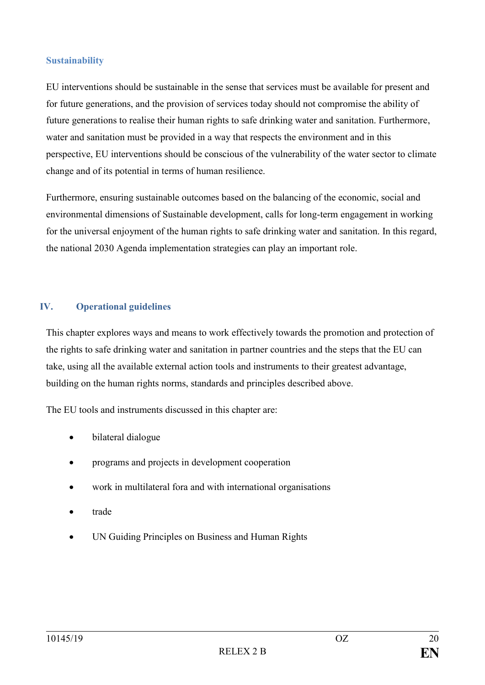#### **Sustainability**

EU interventions should be sustainable in the sense that services must be available for present and for future generations, and the provision of services today should not compromise the ability of future generations to realise their human rights to safe drinking water and sanitation. Furthermore, water and sanitation must be provided in a way that respects the environment and in this perspective, EU interventions should be conscious of the vulnerability of the water sector to climate change and of its potential in terms of human resilience.

Furthermore, ensuring sustainable outcomes based on the balancing of the economic, social and environmental dimensions of Sustainable development, calls for long-term engagement in working for the universal enjoyment of the human rights to safe drinking water and sanitation. In this regard, the national 2030 Agenda implementation strategies can play an important role.

#### <span id="page-19-0"></span>**IV. Operational guidelines**

This chapter explores ways and means to work effectively towards the promotion and protection of the rights to safe drinking water and sanitation in partner countries and the steps that the EU can take, using all the available external action tools and instruments to their greatest advantage, building on the human rights norms, standards and principles described above.

The EU tools and instruments discussed in this chapter are:

- bilateral dialogue
- programs and projects in development cooperation
- work in multilateral fora and with international organisations
- trade
- UN Guiding Principles on Business and Human Rights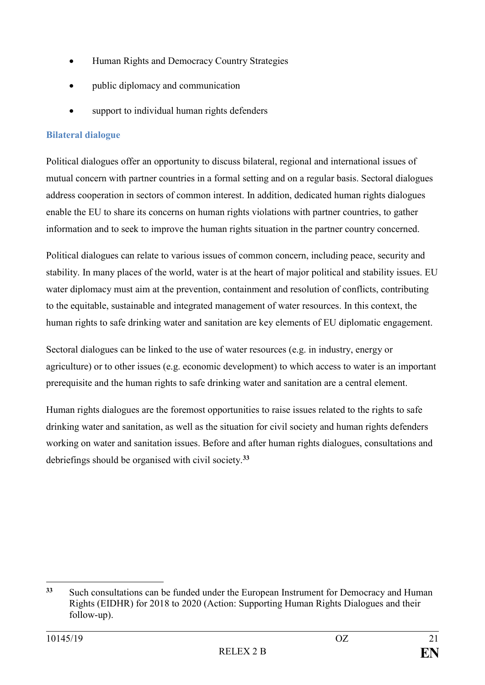- Human Rights and Democracy Country Strategies
- public diplomacy and communication
- support to individual human rights defenders

# **Bilateral dialogue**

Political dialogues offer an opportunity to discuss bilateral, regional and international issues of mutual concern with partner countries in a formal setting and on a regular basis. Sectoral dialogues address cooperation in sectors of common interest. In addition, dedicated human rights dialogues enable the EU to share its concerns on human rights violations with partner countries, to gather information and to seek to improve the human rights situation in the partner country concerned.

Political dialogues can relate to various issues of common concern, including peace, security and stability. In many places of the world, water is at the heart of major political and stability issues. EU water diplomacy must aim at the prevention, containment and resolution of conflicts, contributing to the equitable, sustainable and integrated management of water resources. In this context, the human rights to safe drinking water and sanitation are key elements of EU diplomatic engagement.

Sectoral dialogues can be linked to the use of water resources (e.g. in industry, energy or agriculture) or to other issues (e.g. economic development) to which access to water is an important prerequisite and the human rights to safe drinking water and sanitation are a central element.

Human rights dialogues are the foremost opportunities to raise issues related to the rights to safe drinking water and sanitation, as well as the situation for civil society and human rights defenders working on water and sanitation issues. Before and after human rights dialogues, consultations and debriefings should be organised with civil society.**<sup>33</sup>**

<sup>&</sup>lt;u>.</u> **<sup>33</sup>** Such consultations can be funded under the European Instrument for Democracy and Human Rights (EIDHR) for 2018 to 2020 (Action: Supporting Human Rights Dialogues and their follow-up).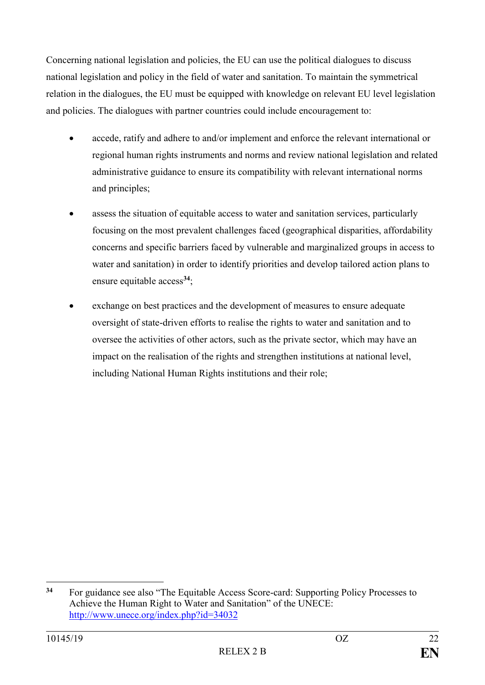Concerning national legislation and policies, the EU can use the political dialogues to discuss national legislation and policy in the field of water and sanitation. To maintain the symmetrical relation in the dialogues, the EU must be equipped with knowledge on relevant EU level legislation and policies. The dialogues with partner countries could include encouragement to:

- accede, ratify and adhere to and/or implement and enforce the relevant international or regional human rights instruments and norms and review national legislation and related administrative guidance to ensure its compatibility with relevant international norms and principles;
- assess the situation of equitable access to water and sanitation services, particularly focusing on the most prevalent challenges faced (geographical disparities, affordability concerns and specific barriers faced by vulnerable and marginalized groups in access to water and sanitation) in order to identify priorities and develop tailored action plans to ensure equitable access**<sup>34</sup>**;
- exchange on best practices and the development of measures to ensure adequate oversight of state-driven efforts to realise the rights to water and sanitation and to oversee the activities of other actors, such as the private sector, which may have an impact on the realisation of the rights and strengthen institutions at national level, including National Human Rights institutions and their role;

<sup>&</sup>lt;u>.</u> **<sup>34</sup>** For guidance see also "The Equitable Access Score-card: Supporting Policy Processes to Achieve the Human Right to Water and Sanitation" of the UNECE: <http://www.unece.org/index.php?id=34032>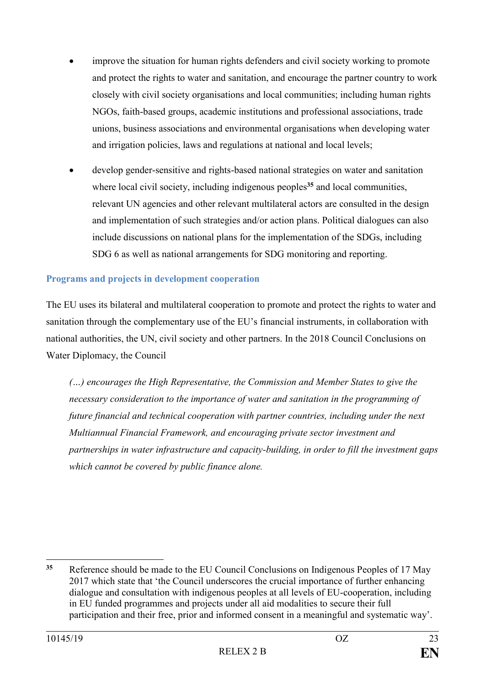- improve the situation for human rights defenders and civil society working to promote and protect the rights to water and sanitation, and encourage the partner country to work closely with civil society organisations and local communities; including human rights NGOs, faith-based groups, academic institutions and professional associations, trade unions, business associations and environmental organisations when developing water and irrigation policies, laws and regulations at national and local levels;
- develop gender-sensitive and rights-based national strategies on water and sanitation where local civil society, including indigenous peoples<sup>35</sup> and local communities, relevant UN agencies and other relevant multilateral actors are consulted in the design and implementation of such strategies and/or action plans. Political dialogues can also include discussions on national plans for the implementation of the SDGs, including SDG 6 as well as national arrangements for SDG monitoring and reporting.

### **Programs and projects in development cooperation**

The EU uses its bilateral and multilateral cooperation to promote and protect the rights to water and sanitation through the complementary use of the EU's financial instruments, in collaboration with national authorities, the UN, civil society and other partners. In the 2018 Council Conclusions on Water Diplomacy, the Council

*(…) encourages the High Representative, the Commission and Member States to give the necessary consideration to the importance of water and sanitation in the programming of future financial and technical cooperation with partner countries, including under the next Multiannual Financial Framework, and encouraging private sector investment and partnerships in water infrastructure and capacity-building, in order to fill the investment gaps which cannot be covered by public finance alone.*

1

**<sup>35</sup>** Reference should be made to the EU Council Conclusions on Indigenous Peoples of 17 May 2017 which state that 'the Council underscores the crucial importance of further enhancing dialogue and consultation with indigenous peoples at all levels of EU-cooperation, including in EU funded programmes and projects under all aid modalities to secure their full participation and their free, prior and informed consent in a meaningful and systematic way'.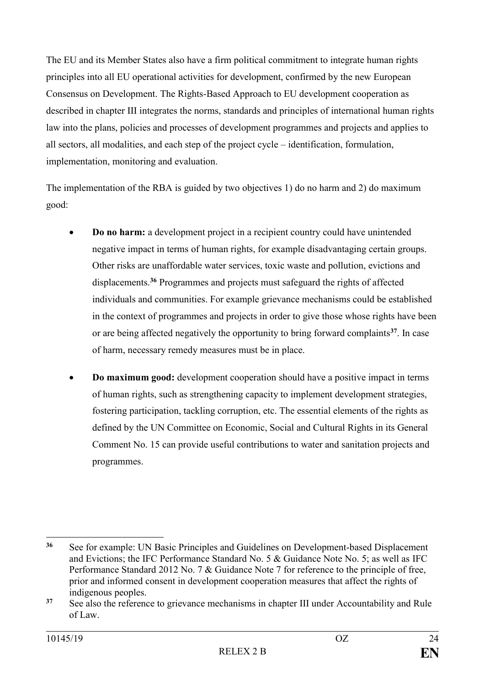The EU and its Member States also have a firm political commitment to integrate human rights principles into all EU operational activities for development, confirmed by the new European Consensus on Development. The Rights-Based Approach to EU development cooperation as described in chapter III integrates the norms, standards and principles of international human rights law into the plans, policies and processes of development programmes and projects and applies to all sectors, all modalities, and each step of the project cycle – identification, formulation, implementation, monitoring and evaluation.

The implementation of the RBA is guided by two objectives 1) do no harm and 2) do maximum good:

- **Do no harm:** a development project in a recipient country could have unintended negative impact in terms of human rights, for example disadvantaging certain groups. Other risks are unaffordable water services, toxic waste and pollution, evictions and displacements.**<sup>36</sup>** Programmes and projects must safeguard the rights of affected individuals and communities. For example grievance mechanisms could be established in the context of programmes and projects in order to give those whose rights have been or are being affected negatively the opportunity to bring forward complaints**<sup>37</sup>**. In case of harm, necessary remedy measures must be in place.
- **Do maximum good:** development cooperation should have a positive impact in terms of human rights, such as strengthening capacity to implement development strategies, fostering participation, tackling corruption, etc. The essential elements of the rights as defined by the UN Committee on Economic, Social and Cultural Rights in its General Comment No. 15 can provide useful contributions to water and sanitation projects and programmes.

<sup>1</sup> **<sup>36</sup>** See for example: UN Basic Principles and Guidelines on Development-based Displacement and Evictions; the IFC Performance Standard No. 5 & Guidance Note No. 5; as well as IFC Performance Standard 2012 No. 7 & Guidance Note 7 for reference to the principle of free, prior and informed consent in development cooperation measures that affect the rights of indigenous peoples.

<sup>&</sup>lt;sup>37</sup> See also the reference to grievance mechanisms in chapter III under Accountability and Rule of Law.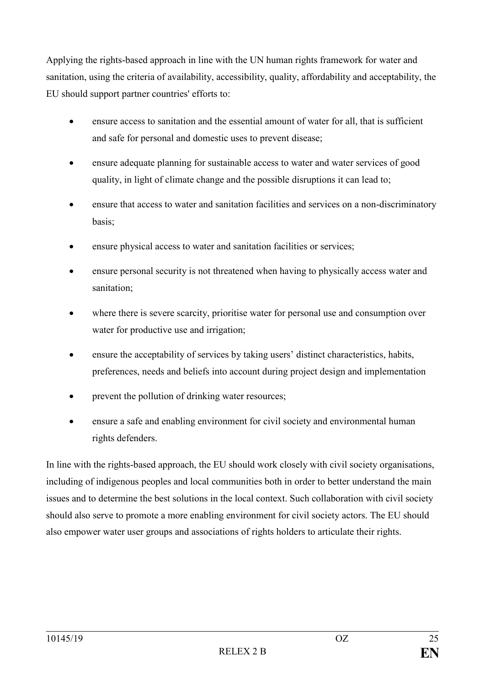Applying the rights-based approach in line with the UN human rights framework for water and sanitation, using the criteria of availability, accessibility, quality, affordability and acceptability, the EU should support partner countries' efforts to:

- ensure access to sanitation and the essential amount of water for all, that is sufficient and safe for personal and domestic uses to prevent disease;
- ensure adequate planning for sustainable access to water and water services of good quality, in light of climate change and the possible disruptions it can lead to;
- ensure that access to water and sanitation facilities and services on a non-discriminatory basis;
- ensure physical access to water and sanitation facilities or services;
- ensure personal security is not threatened when having to physically access water and sanitation;
- where there is severe scarcity, prioritise water for personal use and consumption over water for productive use and irrigation;
- ensure the acceptability of services by taking users' distinct characteristics, habits, preferences, needs and beliefs into account during project design and implementation
- prevent the pollution of drinking water resources;
- ensure a safe and enabling environment for civil society and environmental human rights defenders.

In line with the rights-based approach, the EU should work closely with civil society organisations, including of indigenous peoples and local communities both in order to better understand the main issues and to determine the best solutions in the local context. Such collaboration with civil society should also serve to promote a more enabling environment for civil society actors. The EU should also empower water user groups and associations of rights holders to articulate their rights.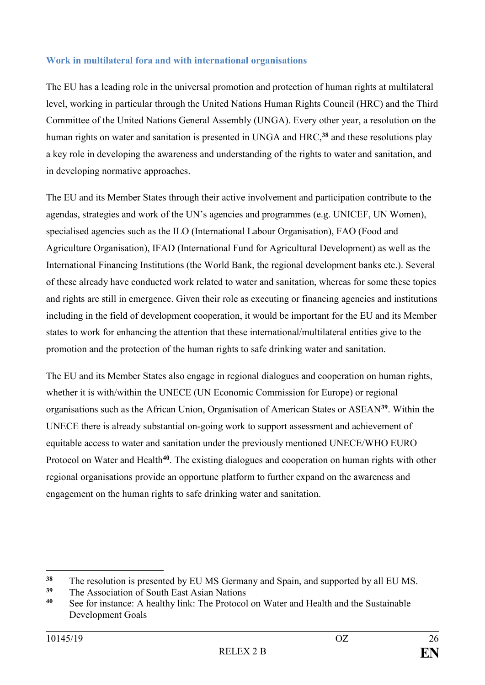## **Work in multilateral fora and with international organisations**

The EU has a leading role in the universal promotion and protection of human rights at multilateral level, working in particular through the United Nations Human Rights Council (HRC) and the Third Committee of the United Nations General Assembly (UNGA). Every other year, a resolution on the human rights on water and sanitation is presented in UNGA and HRC,**<sup>38</sup>** and these resolutions play a key role in developing the awareness and understanding of the rights to water and sanitation, and in developing normative approaches.

The EU and its Member States through their active involvement and participation contribute to the agendas, strategies and work of the UN's agencies and programmes (e.g. UNICEF, UN Women), specialised agencies such as the ILO (International Labour Organisation), FAO (Food and Agriculture Organisation), IFAD (International Fund for Agricultural Development) as well as the International Financing Institutions (the World Bank, the regional development banks etc.). Several of these already have conducted work related to water and sanitation, whereas for some these topics and rights are still in emergence. Given their role as executing or financing agencies and institutions including in the field of development cooperation, it would be important for the EU and its Member states to work for enhancing the attention that these international/multilateral entities give to the promotion and the protection of the human rights to safe drinking water and sanitation.

The EU and its Member States also engage in regional dialogues and cooperation on human rights, whether it is with/within the UNECE (UN Economic Commission for Europe) or regional organisations such as the African Union, Organisation of American States or ASEAN**<sup>39</sup>**. Within the UNECE there is already substantial on-going work to support assessment and achievement of equitable access to water and sanitation under the previously mentioned UNECE/WHO EURO Protocol on Water and Health<sup>40</sup>. The existing dialogues and cooperation on human rights with other regional organisations provide an opportune platform to further expand on the awareness and engagement on the human rights to safe drinking water and sanitation.

1

<sup>&</sup>lt;sup>38</sup> The resolution is presented by EU MS Germany and Spain, and supported by all EU MS.

<sup>&</sup>lt;sup>39</sup> The Association of South East Asian Nations<br><sup>40</sup> See for instance: A healthy link: The Protocol

See for instance: A healthy link: The Protocol on Water and Health and the Sustainable Development Goals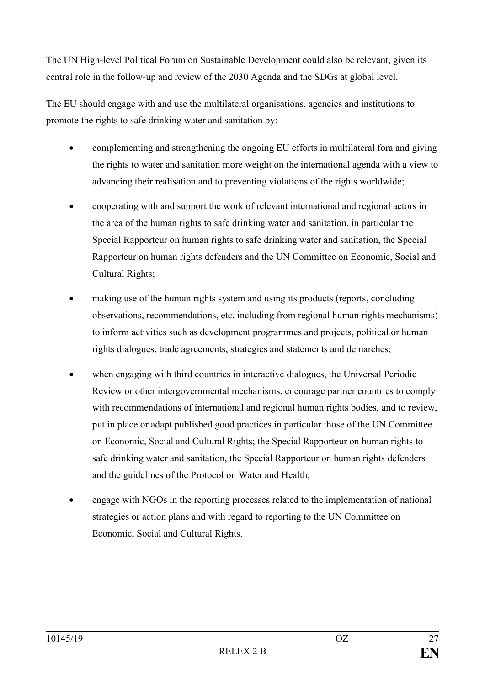The UN High-level Political Forum on Sustainable Development could also be relevant, given its central role in the follow-up and review of the 2030 Agenda and the SDGs at global level.

The EU should engage with and use the multilateral organisations, agencies and institutions to promote the rights to safe drinking water and sanitation by:

- complementing and strengthening the ongoing EU efforts in multilateral fora and giving the rights to water and sanitation more weight on the international agenda with a view to advancing their realisation and to preventing violations of the rights worldwide;
- cooperating with and support the work of relevant international and regional actors in the area of the human rights to safe drinking water and sanitation, in particular the Special Rapporteur on human rights to safe drinking water and sanitation, the Special Rapporteur on human rights defenders and the UN Committee on Economic, Social and Cultural Rights;
- making use of the human rights system and using its products (reports, concluding observations, recommendations, etc. including from regional human rights mechanisms) to inform activities such as development programmes and projects, political or human rights dialogues, trade agreements, strategies and statements and demarches;
- when engaging with third countries in interactive dialogues, the Universal Periodic Review or other intergovernmental mechanisms, encourage partner countries to comply with recommendations of international and regional human rights bodies, and to review, put in place or adapt published good practices in particular those of the UN Committee on Economic, Social and Cultural Rights; the Special Rapporteur on human rights to safe drinking water and sanitation, the Special Rapporteur on human rights defenders and the guidelines of the Protocol on Water and Health;
- engage with NGOs in the reporting processes related to the implementation of national strategies or action plans and with regard to reporting to the UN Committee on Economic, Social and Cultural Rights.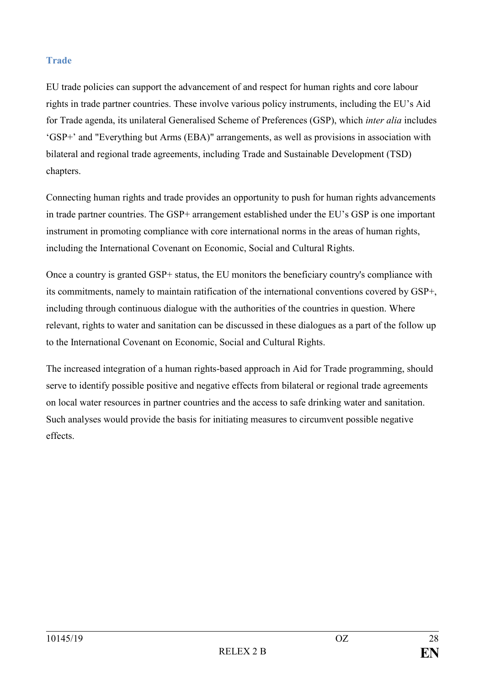## **Trade**

EU trade policies can support the advancement of and respect for human rights and core labour rights in trade partner countries. These involve various policy instruments, including the EU's Aid for Trade agenda, its unilateral Generalised Scheme of Preferences (GSP), which *inter alia* includes 'GSP+' and "Everything but Arms (EBA)" arrangements, as well as provisions in association with bilateral and regional trade agreements, including Trade and Sustainable Development (TSD) chapters.

Connecting human rights and trade provides an opportunity to push for human rights advancements in trade partner countries. The GSP+ arrangement established under the EU's GSP is one important instrument in promoting compliance with core international norms in the areas of human rights, including the International Covenant on Economic, Social and Cultural Rights.

Once a country is granted GSP+ status, the EU monitors the beneficiary country's compliance with its commitments, namely to maintain ratification of the international conventions covered by GSP+, including through continuous dialogue with the authorities of the countries in question. Where relevant, rights to water and sanitation can be discussed in these dialogues as a part of the follow up to the International Covenant on Economic, Social and Cultural Rights.

The increased integration of a human rights-based approach in Aid for Trade programming, should serve to identify possible positive and negative effects from bilateral or regional trade agreements on local water resources in partner countries and the access to safe drinking water and sanitation. Such analyses would provide the basis for initiating measures to circumvent possible negative effects.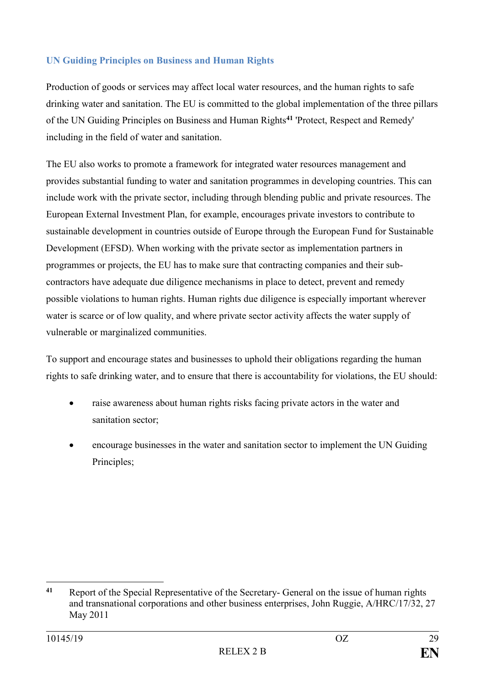# **UN Guiding Principles on Business and Human Rights**

Production of goods or services may affect local water resources, and the human rights to safe drinking water and sanitation. The EU is committed to the global implementation of the three pillars of the UN Guiding Principles on Business and Human Rights**<sup>41</sup>** 'Protect, Respect and Remedy' including in the field of water and sanitation.

The EU also works to promote a framework for integrated water resources management and provides substantial funding to water and sanitation programmes in developing countries. This can include work with the private sector, including through blending public and private resources. The European External Investment Plan, for example, encourages private investors to contribute to sustainable development in countries outside of Europe through the European Fund for Sustainable Development (EFSD). When working with the private sector as implementation partners in programmes or projects, the EU has to make sure that contracting companies and their subcontractors have adequate due diligence mechanisms in place to detect, prevent and remedy possible violations to human rights. Human rights due diligence is especially important wherever water is scarce or of low quality, and where private sector activity affects the water supply of vulnerable or marginalized communities.

To support and encourage states and businesses to uphold their obligations regarding the human rights to safe drinking water, and to ensure that there is accountability for violations, the EU should:

- raise awareness about human rights risks facing private actors in the water and sanitation sector;
- encourage businesses in the water and sanitation sector to implement the UN Guiding Principles;

<sup>&</sup>lt;u>.</u> **<sup>41</sup>** Report of the Special Representative of the Secretary- General on the issue of human rights and transnational corporations and other business enterprises, John Ruggie, A/HRC/17/32, 27 May 2011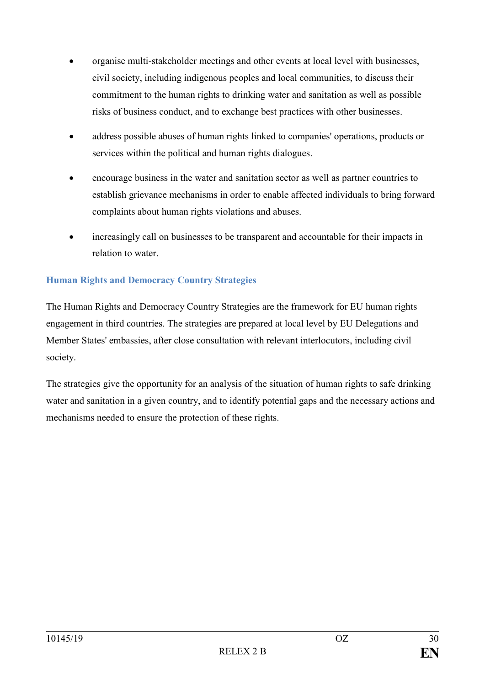- organise multi-stakeholder meetings and other events at local level with businesses, civil society, including indigenous peoples and local communities, to discuss their commitment to the human rights to drinking water and sanitation as well as possible risks of business conduct, and to exchange best practices with other businesses.
- address possible abuses of human rights linked to companies' operations, products or services within the political and human rights dialogues.
- encourage business in the water and sanitation sector as well as partner countries to establish grievance mechanisms in order to enable affected individuals to bring forward complaints about human rights violations and abuses.
- increasingly call on businesses to be transparent and accountable for their impacts in relation to water.

# **Human Rights and Democracy Country Strategies**

The Human Rights and Democracy Country Strategies are the framework for EU human rights engagement in third countries. The strategies are prepared at local level by EU Delegations and Member States' embassies, after close consultation with relevant interlocutors, including civil society.

The strategies give the opportunity for an analysis of the situation of human rights to safe drinking water and sanitation in a given country, and to identify potential gaps and the necessary actions and mechanisms needed to ensure the protection of these rights.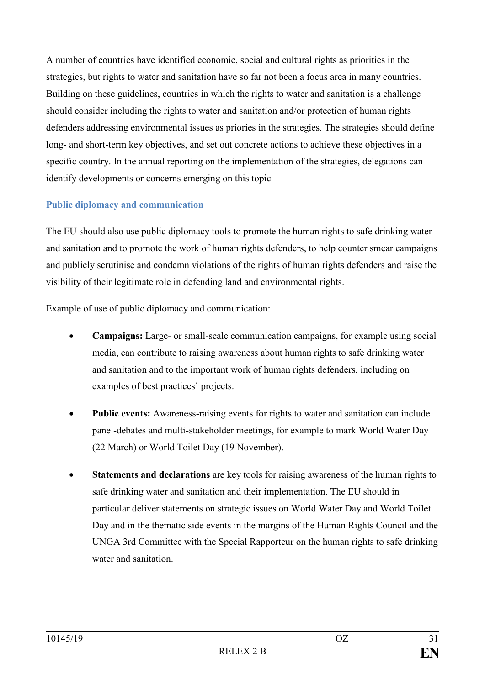A number of countries have identified economic, social and cultural rights as priorities in the strategies, but rights to water and sanitation have so far not been a focus area in many countries. Building on these guidelines, countries in which the rights to water and sanitation is a challenge should consider including the rights to water and sanitation and/or protection of human rights defenders addressing environmental issues as priories in the strategies. The strategies should define long- and short-term key objectives, and set out concrete actions to achieve these objectives in a specific country. In the annual reporting on the implementation of the strategies, delegations can identify developments or concerns emerging on this topic

### **Public diplomacy and communication**

The EU should also use public diplomacy tools to promote the human rights to safe drinking water and sanitation and to promote the work of human rights defenders, to help counter smear campaigns and publicly scrutinise and condemn violations of the rights of human rights defenders and raise the visibility of their legitimate role in defending land and environmental rights.

Example of use of public diplomacy and communication:

- **Campaigns:** Large- or small-scale communication campaigns, for example using social media, can contribute to raising awareness about human rights to safe drinking water and sanitation and to the important work of human rights defenders, including on examples of best practices' projects.
- **Public events:** Awareness-raising events for rights to water and sanitation can include panel-debates and multi-stakeholder meetings, for example to mark World Water Day (22 March) or World Toilet Day (19 November).
- **Statements and declarations** are key tools for raising awareness of the human rights to safe drinking water and sanitation and their implementation. The EU should in particular deliver statements on strategic issues on World Water Day and World Toilet Day and in the thematic side events in the margins of the Human Rights Council and the UNGA 3rd Committee with the Special Rapporteur on the human rights to safe drinking water and sanitation.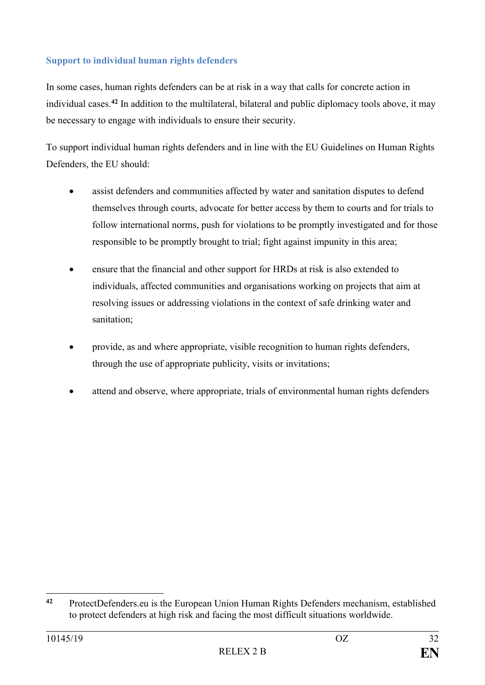# **Support to individual human rights defenders**

In some cases, human rights defenders can be at risk in a way that calls for concrete action in individual cases.**<sup>42</sup>** In addition to the multilateral, bilateral and public diplomacy tools above, it may be necessary to engage with individuals to ensure their security.

To support individual human rights defenders and in line with the EU Guidelines on Human Rights Defenders, the EU should:

- assist defenders and communities affected by water and sanitation disputes to defend themselves through courts, advocate for better access by them to courts and for trials to follow international norms, push for violations to be promptly investigated and for those responsible to be promptly brought to trial; fight against impunity in this area;
- ensure that the financial and other support for HRDs at risk is also extended to individuals, affected communities and organisations working on projects that aim at resolving issues or addressing violations in the context of safe drinking water and sanitation;
- provide, as and where appropriate, visible recognition to human rights defenders, through the use of appropriate publicity, visits or invitations;
- attend and observe, where appropriate, trials of environmental human rights defenders

 $42$ **<sup>42</sup>** ProtectDefenders.eu is the European Union Human Rights Defenders mechanism, established to protect defenders at high risk and facing the most difficult situations worldwide.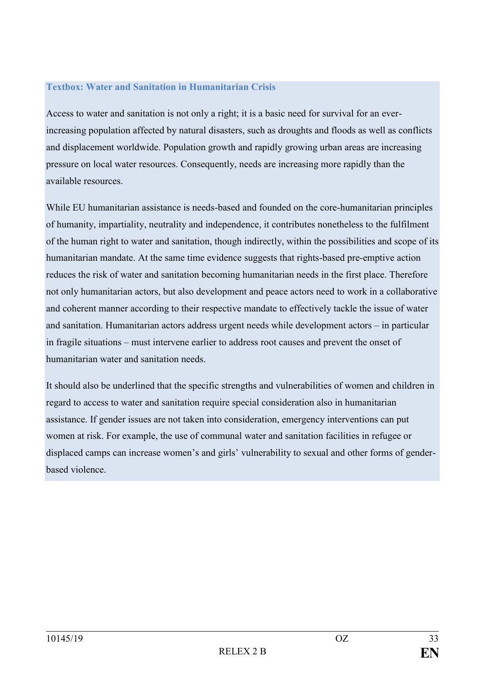### **Textbox: Water and Sanitation in Humanitarian Crisis**

Access to water and sanitation is not only a right; it is a basic need for survival for an everincreasing population affected by natural disasters, such as droughts and floods as well as conflicts and displacement worldwide. Population growth and rapidly growing urban areas are increasing pressure on local water resources. Consequently, needs are increasing more rapidly than the available resources.

While EU humanitarian assistance is needs-based and founded on the core-humanitarian principles of humanity, impartiality, neutrality and independence, it contributes nonetheless to the fulfilment of the human right to water and sanitation, though indirectly, within the possibilities and scope of its humanitarian mandate. At the same time evidence suggests that rights-based pre-emptive action reduces the risk of water and sanitation becoming humanitarian needs in the first place. Therefore not only humanitarian actors, but also development and peace actors need to work in a collaborative and coherent manner according to their respective mandate to effectively tackle the issue of water and sanitation. Humanitarian actors address urgent needs while development actors – in particular in fragile situations – must intervene earlier to address root causes and prevent the onset of humanitarian water and sanitation needs.

It should also be underlined that the specific strengths and vulnerabilities of women and children in regard to access to water and sanitation require special consideration also in humanitarian assistance. If gender issues are not taken into consideration, emergency interventions can put women at risk. For example, the use of communal water and sanitation facilities in refugee or displaced camps can increase women's and girls' vulnerability to sexual and other forms of genderbased violence.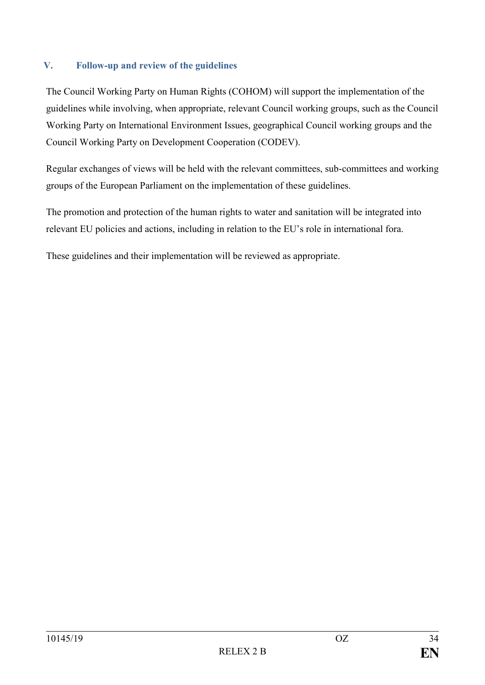## <span id="page-33-0"></span>**V. Follow-up and review of the guidelines**

The Council Working Party on Human Rights (COHOM) will support the implementation of the guidelines while involving, when appropriate, relevant Council working groups, such as the Council Working Party on International Environment Issues, geographical Council working groups and the Council Working Party on Development Cooperation (CODEV).

Regular exchanges of views will be held with the relevant committees, sub-committees and working groups of the European Parliament on the implementation of these guidelines.

The promotion and protection of the human rights to water and sanitation will be integrated into relevant EU policies and actions, including in relation to the EU's role in international fora.

These guidelines and their implementation will be reviewed as appropriate.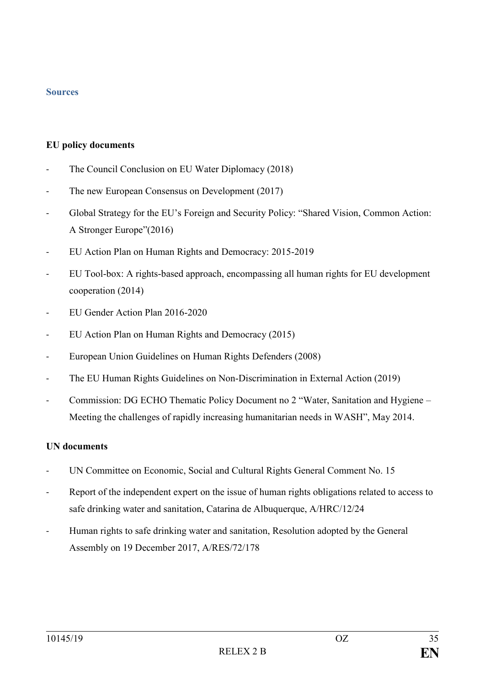#### <span id="page-34-0"></span>**Sources**

#### **EU policy documents**

- The Council Conclusion on EU Water Diplomacy (2018)
- The new European Consensus on Development (2017)
- Global Strategy for the EU's Foreign and Security Policy: "Shared Vision, Common Action: A Stronger Europe"(2016)
- EU Action Plan on Human Rights and Democracy: 2015-2019
- EU Tool-box: A rights-based approach, encompassing all human rights for EU development cooperation (2014)
- EU Gender Action Plan 2016-2020
- EU Action Plan on Human Rights and Democracy (2015)
- European Union Guidelines on Human Rights Defenders (2008)
- The EU Human Rights Guidelines on Non-Discrimination in External Action (2019)
- Commission: DG ECHO Thematic Policy Document no 2 "Water, Sanitation and Hygiene Meeting the challenges of rapidly increasing humanitarian needs in WASH", May 2014.

#### **UN documents**

- UN Committee on Economic, Social and Cultural Rights General Comment No. 15
- Report of the independent expert on the issue of human rights obligations related to access to safe drinking water and sanitation, Catarina de Albuquerque, A/HRC/12/24
- Human rights to safe drinking water and sanitation, Resolution adopted by the General Assembly on 19 December 2017, A/RES/72/178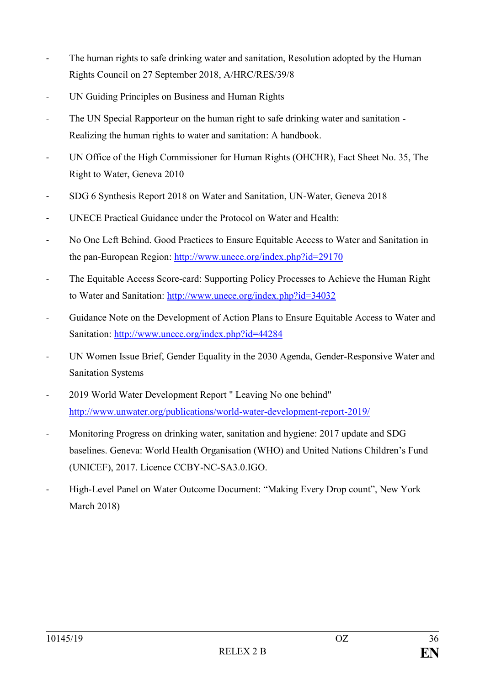- The human rights to safe drinking water and sanitation, Resolution adopted by the Human Rights Council on 27 September 2018, A/HRC/RES/39/8
- UN Guiding Principles on Business and Human Rights
- The UN Special Rapporteur on the human right to safe drinking water and sanitation -Realizing the human rights to water and sanitation: A handbook.
- UN Office of the High Commissioner for Human Rights (OHCHR), Fact Sheet No. 35, The Right to Water, Geneva 2010
- SDG 6 Synthesis Report 2018 on Water and Sanitation, UN-Water, Geneva 2018
- UNECE Practical Guidance under the Protocol on Water and Health:
- No One Left Behind. Good Practices to Ensure Equitable Access to Water and Sanitation in the pan-European Region:<http://www.unece.org/index.php?id=29170>
- The Equitable Access Score-card: Supporting Policy Processes to Achieve the Human Right to Water and Sanitation:<http://www.unece.org/index.php?id=34032>
- Guidance Note on the Development of Action Plans to Ensure Equitable Access to Water and Sanitation:<http://www.unece.org/index.php?id=44284>
- UN Women Issue Brief, Gender Equality in the 2030 Agenda, Gender-Responsive Water and Sanitation Systems
- 2019 World Water Development Report " Leaving No one behind" <http://www.unwater.org/publications/world-water-development-report-2019/>
- Monitoring Progress on drinking water, sanitation and hygiene: 2017 update and SDG baselines. Geneva: World Health Organisation (WHO) and United Nations Children's Fund (UNICEF), 2017. Licence CCBY-NC-SA3.0.IGO.
- High-Level Panel on Water Outcome Document: "Making Every Drop count", New York March 2018)